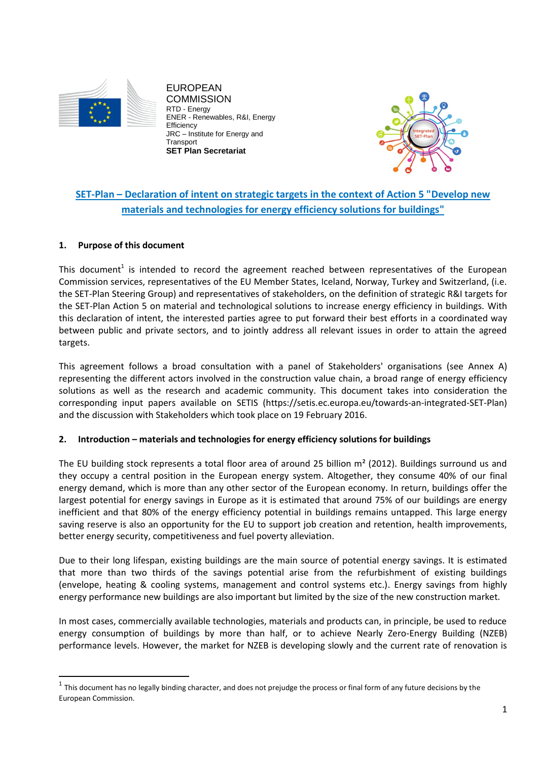

EUROPEAN **COMMISSION** - Energy ENER - Renewables, R&I, Energy **Efficiency** JRC – Institute for Energy and **Transport SET Plan Secretariat**



# **SET-Plan – Declaration of intent on strategic targets in the context of Action 5 "Develop new materials and technologies for energy efficiency solutions for buildings"**

## **1. Purpose of this document**

 $\overline{a}$ 

This document<sup>1</sup> is intended to record the agreement reached between representatives of the European Commission services, representatives of the EU Member States, Iceland, Norway, Turkey and Switzerland, (i.e. the SET-Plan Steering Group) and representatives of stakeholders, on the definition of strategic R&I targets for the SET-Plan Action 5 on material and technological solutions to increase energy efficiency in buildings. With this declaration of intent, the interested parties agree to put forward their best efforts in a coordinated way between public and private sectors, and to jointly address all relevant issues in order to attain the agreed targets.

This agreement follows a broad consultation with a panel of Stakeholders' organisations (see Annex A) representing the different actors involved in the construction value chain, a broad range of energy efficiency solutions as well as the research and academic community. This document takes into consideration the corresponding input papers available on SETIS (https://setis.ec.europa.eu/towards-an-integrated-SET-Plan) and the discussion with Stakeholders which took place on 19 February 2016.

### **2. Introduction – materials and technologies for energy efficiency solutions for buildings**

The EU building stock represents a total floor area of around 25 billion  $m<sup>2</sup>$  (2012). Buildings surround us and they occupy a central position in the European energy system. Altogether, they consume 40% of our final energy demand, which is more than any other sector of the European economy. In return, buildings offer the largest potential for energy savings in Europe as it is estimated that around 75% of our buildings are energy inefficient and that 80% of the energy efficiency potential in buildings remains untapped. This large energy saving reserve is also an opportunity for the EU to support job creation and retention, health improvements, better energy security, competitiveness and fuel poverty alleviation.

Due to their long lifespan, existing buildings are the main source of potential energy savings. It is estimated that more than two thirds of the savings potential arise from the refurbishment of existing buildings (envelope, heating & cooling systems, management and control systems etc.). Energy savings from highly energy performance new buildings are also important but limited by the size of the new construction market.

In most cases, commercially available technologies, materials and products can, in principle, be used to reduce energy consumption of buildings by more than half, or to achieve Nearly Zero-Energy Building (NZEB) performance levels. However, the market for NZEB is developing slowly and the current rate of renovation is

 $^1$  This document has no legally binding character, and does not prejudge the process or final form of any future decisions by the European Commission.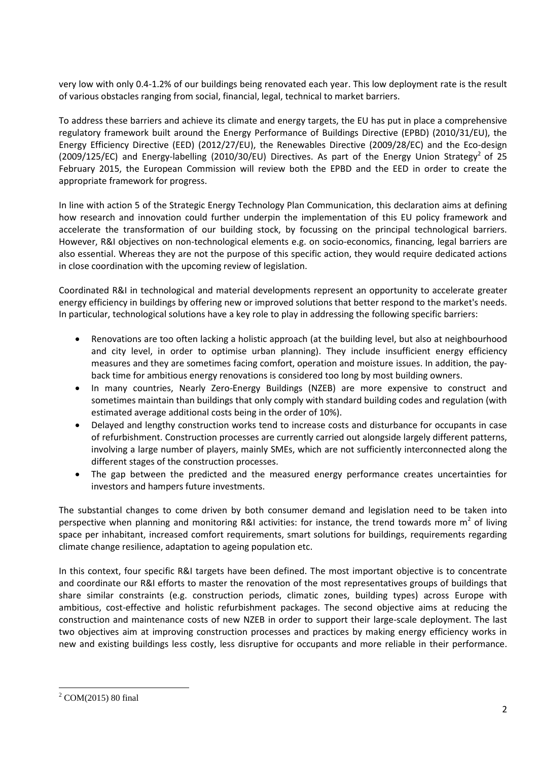very low with only 0.4-1.2% of our buildings being renovated each year. This low deployment rate is the result of various obstacles ranging from social, financial, legal, technical to market barriers.

To address these barriers and achieve its climate and energy targets, the EU has put in place a comprehensive regulatory framework built around the Energy Performance of Buildings Directive (EPBD) (2010/31/EU), the Energy Efficiency Directive (EED) (2012/27/EU), the Renewables Directive (2009/28/EC) and the Eco-design (2009/125/EC) and Energy-labelling (2010/30/EU) Directives. As part of the Energy Union Strategy<sup>2</sup> of 25 February 2015, the European Commission will review both the EPBD and the EED in order to create the appropriate framework for progress.

In line with action 5 of the Strategic Energy Technology Plan Communication, this declaration aims at defining how research and innovation could further underpin the implementation of this EU policy framework and accelerate the transformation of our building stock, by focussing on the principal technological barriers. However, R&I objectives on non-technological elements e.g. on socio-economics, financing, legal barriers are also essential. Whereas they are not the purpose of this specific action, they would require dedicated actions in close coordination with the upcoming review of legislation.

Coordinated R&I in technological and material developments represent an opportunity to accelerate greater energy efficiency in buildings by offering new or improved solutions that better respond to the market's needs. In particular, technological solutions have a key role to play in addressing the following specific barriers:

- Renovations are too often lacking a holistic approach (at the building level, but also at neighbourhood and city level, in order to optimise urban planning). They include insufficient energy efficiency measures and they are sometimes facing comfort, operation and moisture issues. In addition, the payback time for ambitious energy renovations is considered too long by most building owners.
- In many countries, Nearly Zero-Energy Buildings (NZEB) are more expensive to construct and sometimes maintain than buildings that only comply with standard building codes and regulation (with estimated average additional costs being in the order of 10%).
- Delayed and lengthy construction works tend to increase costs and disturbance for occupants in case of refurbishment. Construction processes are currently carried out alongside largely different patterns, involving a large number of players, mainly SMEs, which are not sufficiently interconnected along the different stages of the construction processes.
- The gap between the predicted and the measured energy performance creates uncertainties for investors and hampers future investments.

The substantial changes to come driven by both consumer demand and legislation need to be taken into perspective when planning and monitoring R&I activities: for instance, the trend towards more  $m^2$  of living space per inhabitant, increased comfort requirements, smart solutions for buildings, requirements regarding climate change resilience, adaptation to ageing population etc.

In this context, four specific R&I targets have been defined. The most important objective is to concentrate and coordinate our R&I efforts to master the renovation of the most representatives groups of buildings that share similar constraints (e.g. construction periods, climatic zones, building types) across Europe with ambitious, cost-effective and holistic refurbishment packages. The second objective aims at reducing the construction and maintenance costs of new NZEB in order to support their large-scale deployment. The last two objectives aim at improving construction processes and practices by making energy efficiency works in new and existing buildings less costly, less disruptive for occupants and more reliable in their performance.

 $\ddot{\phantom{a}}$  $^{2}$  COM(2015) 80 final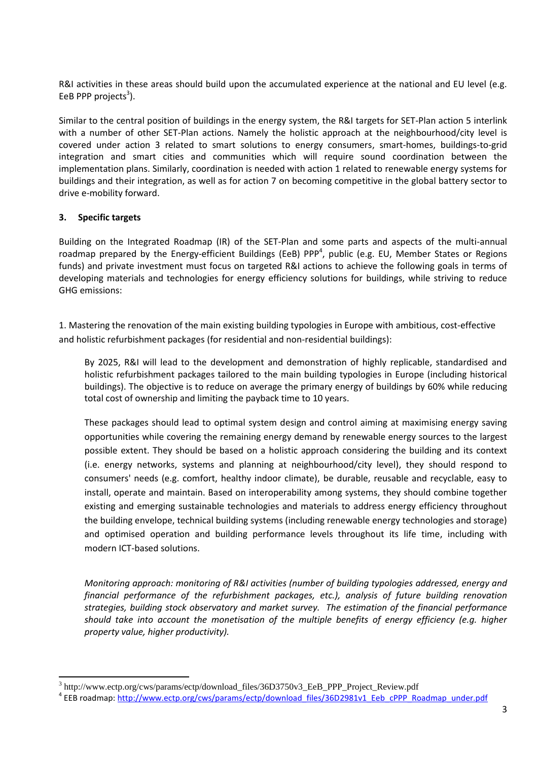R&I activities in these areas should build upon the accumulated experience at the national and EU level (e.g. EeB PPP projects<sup>3</sup>).

Similar to the central position of buildings in the energy system, the R&I targets for SET-Plan action 5 interlink with a number of other SET-Plan actions. Namely the holistic approach at the neighbourhood/city level is covered under action 3 related to smart solutions to energy consumers, smart-homes, buildings-to-grid integration and smart cities and communities which will require sound coordination between the implementation plans. Similarly, coordination is needed with action 1 related to renewable energy systems for buildings and their integration, as well as for action 7 on becoming competitive in the global battery sector to drive e-mobility forward.

#### **3. Specific targets**

1

Building on the Integrated Roadmap (IR) of the SET-Plan and some parts and aspects of the multi-annual roadmap prepared by the Energy-efficient Buildings (EeB) PPP<sup>4</sup>, public (e.g. EU, Member States or Regions funds) and private investment must focus on targeted R&I actions to achieve the following goals in terms of developing materials and technologies for energy efficiency solutions for buildings, while striving to reduce GHG emissions:

1. Mastering the renovation of the main existing building typologies in Europe with ambitious, cost-effective and holistic refurbishment packages (for residential and non-residential buildings):

By 2025, R&I will lead to the development and demonstration of highly replicable, standardised and holistic refurbishment packages tailored to the main building typologies in Europe (including historical buildings). The objective is to reduce on average the primary energy of buildings by 60% while reducing total cost of ownership and limiting the payback time to 10 years.

These packages should lead to optimal system design and control aiming at maximising energy saving opportunities while covering the remaining energy demand by renewable energy sources to the largest possible extent. They should be based on a holistic approach considering the building and its context (i.e. energy networks, systems and planning at neighbourhood/city level), they should respond to consumers' needs (e.g. comfort, healthy indoor climate), be durable, reusable and recyclable, easy to install, operate and maintain. Based on interoperability among systems, they should combine together existing and emerging sustainable technologies and materials to address energy efficiency throughout the building envelope, technical building systems (including renewable energy technologies and storage) and optimised operation and building performance levels throughout its life time, including with modern ICT-based solutions.

*Monitoring approach: monitoring of R&I activities (number of building typologies addressed, energy and financial performance of the refurbishment packages, etc.), analysis of future building renovation strategies, building stock observatory and market survey. The estimation of the financial performance should take into account the monetisation of the multiple benefits of energy efficiency (e.g. higher property value, higher productivity).*

<sup>3</sup> http://www.ectp.org/cws/params/ectp/download\_files/36D3750v3\_EeB\_PPP\_Project\_Review.pdf <sup>4</sup> EEB roadmap: http://www.ectp.org/cws/params/ectp/download files/36D2981v1 Eeb cPPP\_Roadmap\_under.pdf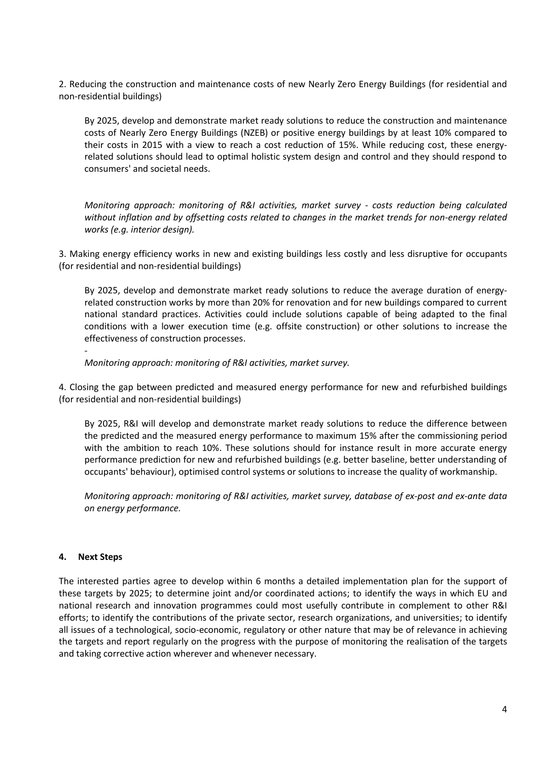2. Reducing the construction and maintenance costs of new Nearly Zero Energy Buildings (for residential and non-residential buildings)

By 2025, develop and demonstrate market ready solutions to reduce the construction and maintenance costs of Nearly Zero Energy Buildings (NZEB) or positive energy buildings by at least 10% compared to their costs in 2015 with a view to reach a cost reduction of 15%. While reducing cost, these energyrelated solutions should lead to optimal holistic system design and control and they should respond to consumers' and societal needs.

*Monitoring approach: monitoring of R&I activities, market survey - costs reduction being calculated without inflation and by offsetting costs related to changes in the market trends for non-energy related works (e.g. interior design).*

3. Making energy efficiency works in new and existing buildings less costly and less disruptive for occupants (for residential and non-residential buildings)

By 2025, develop and demonstrate market ready solutions to reduce the average duration of energyrelated construction works by more than 20% for renovation and for new buildings compared to current national standard practices. Activities could include solutions capable of being adapted to the final conditions with a lower execution time (e.g. offsite construction) or other solutions to increase the effectiveness of construction processes.

*Monitoring approach: monitoring of R&I activities, market survey.*

4. Closing the gap between predicted and measured energy performance for new and refurbished buildings (for residential and non-residential buildings)

By 2025, R&I will develop and demonstrate market ready solutions to reduce the difference between the predicted and the measured energy performance to maximum 15% after the commissioning period with the ambition to reach 10%. These solutions should for instance result in more accurate energy performance prediction for new and refurbished buildings (e.g. better baseline, better understanding of occupants' behaviour), optimised control systems or solutions to increase the quality of workmanship.

*Monitoring approach: monitoring of R&I activities, market survey, database of ex-post and ex-ante data on energy performance.*

#### **4. Next Steps**

-

The interested parties agree to develop within 6 months a detailed implementation plan for the support of these targets by 2025; to determine joint and/or coordinated actions; to identify the ways in which EU and national research and innovation programmes could most usefully contribute in complement to other R&I efforts; to identify the contributions of the private sector, research organizations, and universities; to identify all issues of a technological, socio-economic, regulatory or other nature that may be of relevance in achieving the targets and report regularly on the progress with the purpose of monitoring the realisation of the targets and taking corrective action wherever and whenever necessary.